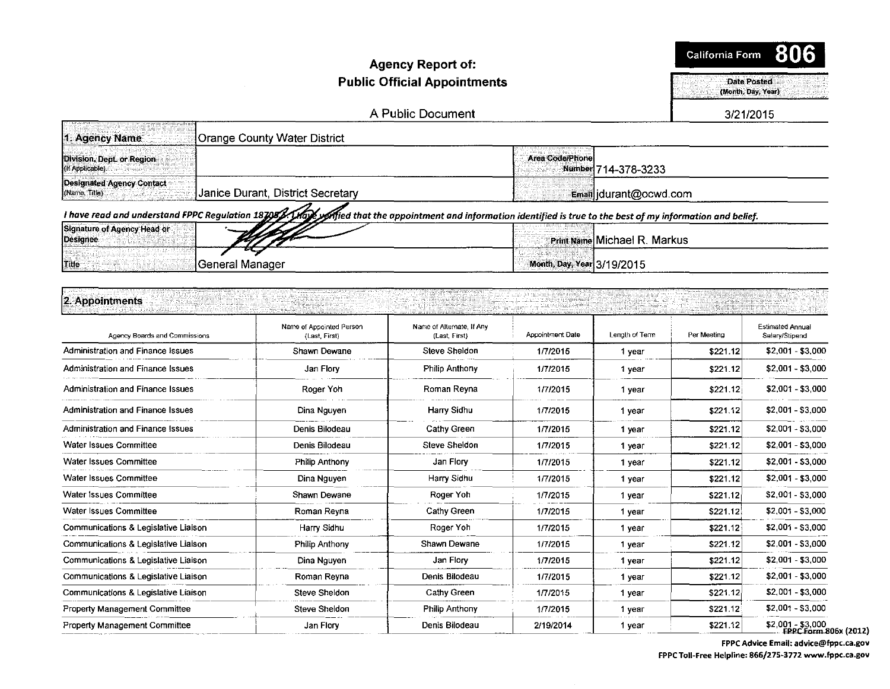#### **Agency Report of: Public Official Appointments**

California Form 806

Date Posted

(Month, Day, Year)

A Public Document

3/21/2015

| 1. Agency Name<br>Orange County Water District                                                                                                             |                                               |
|------------------------------------------------------------------------------------------------------------------------------------------------------------|-----------------------------------------------|
| Division, Dept. or Region<br>(If Applicable)                                                                                                               | <b>Area Code/Phone</b><br>Number 714-378-3233 |
| <b>Designated Agency Contact</b><br>Janice Durant, District Secretary<br>(Name, Title)                                                                     | Email durant@ocwd.com                         |
| I have read and understand FPPC Regulation 187082. Under that the appointment and information identified is true to the best of my information and belief. |                                               |
| Signature of Agency Head or<br>Designee                                                                                                                    | Print Name Michael R. Markus                  |
| ∏General Manager<br>Title                                                                                                                                  | Month, Day, Year 3/19/2015                    |

# 2. Appointments

| Agency Boards and Commissions        | Name of Appointed Person<br>(Last First) | Name of Alternate, If Any<br>(Last, First) | <b>Appointment Date</b> | Length of Term | Per Meeting | Estimated Annual<br>Salary/Stipend       |
|--------------------------------------|------------------------------------------|--------------------------------------------|-------------------------|----------------|-------------|------------------------------------------|
| Administration and Finance Issues    | Shawn Dewane                             | <b>Steve Sheldon</b>                       | 1/7/2015                | 1 year         | \$221.12    | \$2,001 - \$3,000                        |
| Administration and Finance Issues    | Jan Flory                                | Philip Anthony                             | 1/7/2015                | 1 year         | \$221.12    | $$2,001 - $3,000$                        |
| Administration and Finance Issues    | Roger Yoh                                | Roman Reyna                                | 1/7/2015                | 1 year         | \$221.12    | \$2,001 - \$3,000                        |
| Administration and Finance Issues    | Dina Nguyen                              | Harry Sidhu                                | 1/7/2015                | 1 year         | \$221.12    | \$2,001 - \$3,000                        |
| Administration and Finance Issues    | Denis Bilodeau                           | <b>Cathy Green</b>                         | 1/7/2015                | 1 year         | \$221.12    | \$2,001 - \$3,000                        |
| Water Issues Committee               | Denis Bilodeau                           | Steve Sheldon                              | 1/7/2015                | 1 year         | \$221.12    | $$2,001 - $3,000$                        |
| Water Issues Committee               | Philip Anthony                           | Jan Flory                                  | 1/7/2015                | 1 year         | \$221.12    | $$2,001 - $3,000$                        |
| <b>Water Issues Committee</b>        | Dina Nguyen                              | Harry Sidhu                                | 1/7/2015                | 1 year         | \$221.12    | $$2,001 - $3,000$                        |
| Water Issues Committee               | Shawn Dewane                             | Roger Yoh                                  | 1/7/2015                | 1 year         | \$221.12    | \$2,001 - \$3,000                        |
| Water Issues Committee               | Roman Reyna                              | Cathy Green                                | 1/7/2015                | 1 year         | \$221.12    | \$2,001 - \$3,000                        |
| Communications & Legislative Liaison | Harry Sidhu                              | Roger Yoh                                  | 1/7/2015                | 1 year         | \$221.12    | \$2,001 - \$3,000                        |
| Communications & Legislative Liaison | Philip Anthony                           | Shawn Dewane                               | 1/7/2015                | 1 year         | \$221.12    | \$2,001 - \$3,000                        |
| Communications & Legislative Liaison | Dina Nguyen                              | Jan Flory                                  | 1/7/2015                | 1 year         | \$221.12    | \$2,001 - \$3,000                        |
| Communications & Legislative Liaison | Roman Reyna                              | Denis Bilodeau                             | 1/7/2015                | 1 year         | \$221.12    | $$2,001 - $3,000$                        |
| Communications & Legislative Liaison | Steve Sheldon                            | Cathy Green                                | 1/7/2015                | 1 year         | \$221.12    | $$2,001 - $3,000$                        |
| <b>Property Management Committee</b> | Steve Sheldon                            | <b>Philip Anthony</b>                      | 1/7/2015                | 1 year         | \$221.12    | \$2,001 - \$3,000                        |
| <b>Property Management Committee</b> | Jan Flory                                | Denis Bilodeau                             | 2/19/2014               | 1 year         | \$221.12    | $$2,001 - $3,000$<br><b>FPPC Form 80</b> |

06x (2012) FPPC Advice Email: advice@fppc.ca.gov

FPPC Toll-Free Helpline: 866/275-3772 www.fppc.ca.gov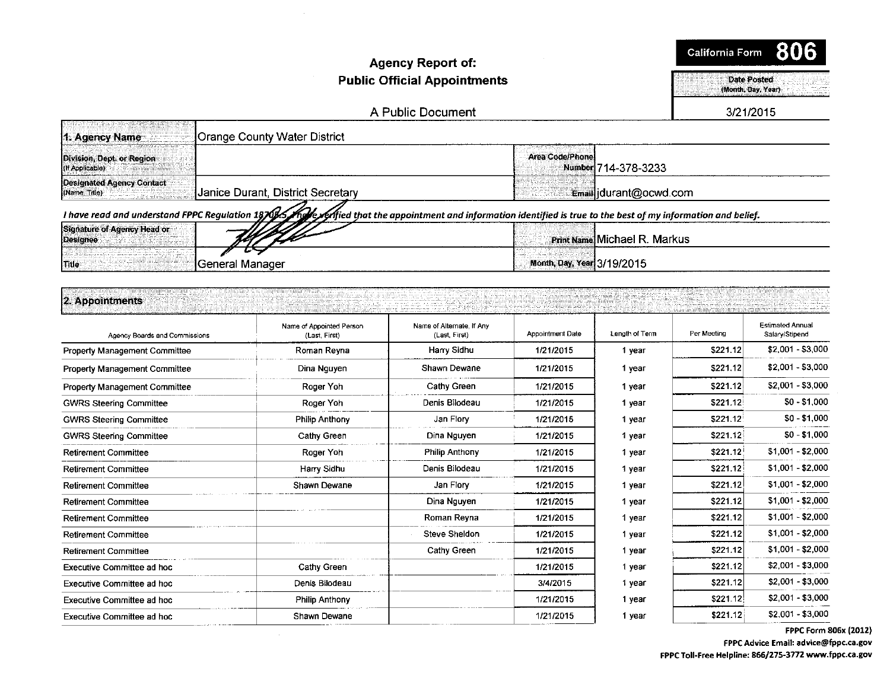#### **Agency Report of: Public Official Appointments**

**California Form** 806

**Date Posted** (Month, Day, Year)

A Public Document

3/21/2015

| Crange County Water District<br>1. Agency Name                                                                                                                   |                                        |
|------------------------------------------------------------------------------------------------------------------------------------------------------------------|----------------------------------------|
| Division, Dept. or Region<br><b>HIT Applicable</b>                                                                                                               | Area Code/Phone<br>Number 714-378-3233 |
| Designated Agency Contact<br>Janice Durant, District Secretary<br>[(Name: Title)                                                                                 | Email durant@ocwd.com                  |
| I have read and understand FPPC Regulation 1870 15 Mare refied that the appointment and information identified is true to the best of my information and belief. |                                        |
| Signature of Agency Head or<br>Designee                                                                                                                          | <b>Print Name Michael R. Markus</b>    |
| . General Manager<br><b>Title</b>                                                                                                                                | Month, Day, Year 3/19/2015             |

## 2. Appointments

| Agency Boards and Commissions        | Name of Appointed Person<br>(Last. First) | Name of Alternate, If Any<br>(Last, First) | <b>Appointment Date</b> | Length of Term | Per Meeting | <b>Estimated Annual</b><br>Salary/Stipend |
|--------------------------------------|-------------------------------------------|--------------------------------------------|-------------------------|----------------|-------------|-------------------------------------------|
| <b>Property Management Committee</b> | Roman Reyna                               | Harry Sidhu                                | 1/21/2015               | 1 year         | \$221.12    | $$2,001 - $3,000$                         |
| Property Management Committee        | Dina Nguyen                               | Shawn Dewane                               | 1/21/2015               | 1 year         | \$221.12    | $$2,001 - $3,000$                         |
| <b>Property Management Committee</b> | Roger Yoh                                 | Cathy Green                                | 1/21/2015               | 1 year         | \$221.12    | $$2,001 - $3,000$                         |
| <b>GWRS Steering Committee</b>       | Roger Yoh                                 | Denis Bilodeau                             | 1/21/2015               | 1 year         | \$221.12    | $$0 - $1,000$                             |
| <b>GWRS Steering Committee</b>       | <b>Philip Anthony</b>                     | Jan Flory                                  | 1/21/2015               | 1 year         | \$221.12    | $$0 - $1,000$                             |
| <b>GWRS Steering Committee</b>       | <b>Cathy Green</b>                        | Dina Nguyen                                | 1/21/2015               | 1 year         | \$221.12    | $$0 - $1,000$                             |
| <b>Retirement Committee</b>          | Roger Yoh                                 | Philip Anthony                             | 1/21/2015               | 1 year         | \$221.12    | $$1,001 - $2,000$                         |
| <b>Retirement Committee</b>          | Harry Sidhu                               | Denis Bilodeau                             | 1/21/2015               | 1 year         | \$221.12    | $$1,001 - $2,000$                         |
| <b>Retirement Committee</b>          | Shawn Dewane                              | Jan Flory                                  | 1/21/2015               | 1 year         | \$221.12    | $$1,001 - $2,000$                         |
| <b>Retirement Committee</b>          |                                           | Dina Nguyen                                | 1/21/2015               | 1 year         | \$221.12    | $$1,001 - $2,000$                         |
| <b>Retirement Committee</b>          |                                           | Roman Reyna                                | 1/21/2015               | 1 year         | \$221.12    | \$1,001 - \$2,000                         |
| <b>Retirement Committee</b>          |                                           | <b>Steve Sheldon</b>                       | 1/21/2015               | 1 year         | \$221.12    | $$1,001 - $2,000$                         |
| <b>Retirement Committee</b>          |                                           | Cathy Green                                | 1/21/2015               | 1 year         | \$221.12    | \$1,001 - \$2,000                         |
| Executive Committee ad hoc           | Cathy Green                               |                                            | 1/21/2015               | 1 year         | \$221.12    | $$2,001 - $3,000$                         |
| Executive Committee ad hoc           | Denis Bilodeau                            |                                            | 3/4/2015                | 1 year         | \$221.12    | $$2,001 - $3,000$                         |
| <b>Executive Committee ad hoc</b>    | Philip Anthony                            |                                            | 1/21/2015               | 1 year         | \$221.12    | $$2,001 - $3,000$                         |
| Executive Committee ad hoc           | Shawn Dewane                              |                                            | 1/21/2015               | 1 year         | \$221.12]   | $$2,001 - $3,000$                         |

FPPC Form 806x (2012)

FPPC Advice Email: advice@fppc.ca.gov FPPC Toll-Free Helpline: 866/275-3772 www.fppc.ca.gov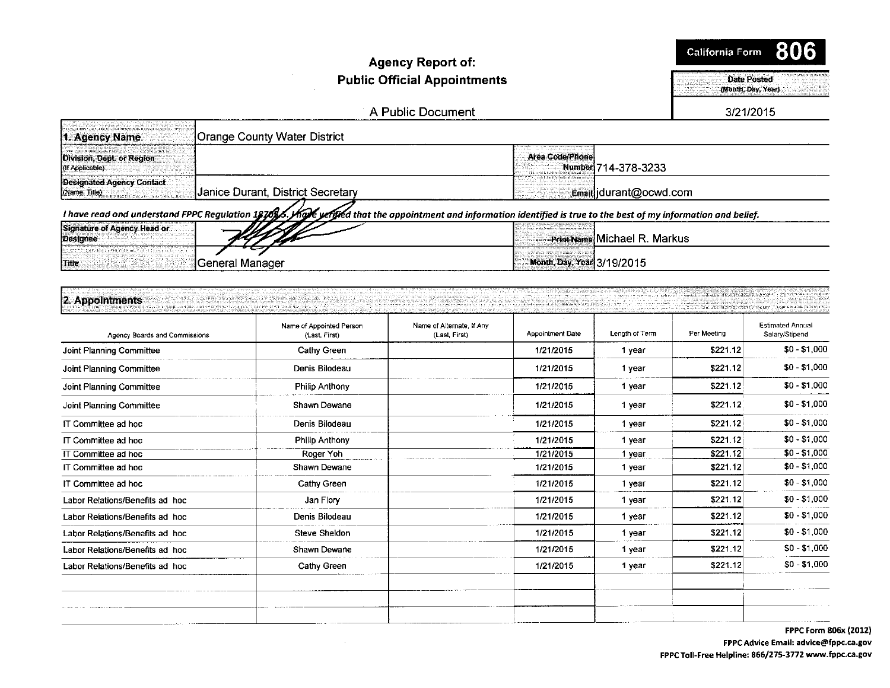#### Agency Report of: Public Official Appointments - --Date POsted

(Month, Day, Year)

A Public Document

3/21/2015

| Crange County Water District<br>1. Agency Name                                                                                                                    |                                               |
|-------------------------------------------------------------------------------------------------------------------------------------------------------------------|-----------------------------------------------|
| Division, Dept. or Region<br>(If Applicable)                                                                                                                      | <b>Area Code/Phone</b><br>Number 714-378-3233 |
| Designated Agency Contact<br>Janice Durant, District Secretary<br>(Name, Title)                                                                                   | Email idurant@ocwd.com                        |
| I have read ond understand FPPC Regulation 1876 / Male yeritied that the appointment and information identified is true to the best of my information and belief. |                                               |
| Signature of Agency Head or<br>Designee                                                                                                                           | Print Name Michael R. Markus                  |
| ∃General Manager<br><b>I</b> Title                                                                                                                                | Month, Day, Year 3/19/2015                    |

#### [2-A!l~Jn~n~·· .. ··- .....•.. •.· *ii* •<·.·· <i ; "}}!-;;- ,; . .•. . . . . ·.··· Name of Appointed Person • ........... . ·... ·\_..... *.i ..* . • .. .. ..• .· .· . i. ···.· *<sup>L</sup>*•. . ·.·.·.. . •. .- ..... ,Ff ~:·;··v /·-··. ·······•· ; ·. . ... . .......•. ··-········· ........ • .......... · < '/

| Agency Boards and Commissions   | Name of Appointed Person<br>(Last, First) | Name of Alternate, If Any<br>(Last, First) | Appointment Date | Length of Term | Per Meeting | <b>Estimated Annual</b><br>Salary/Stipend |
|---------------------------------|-------------------------------------------|--------------------------------------------|------------------|----------------|-------------|-------------------------------------------|
| Joint Planning Committee        | <b>Cathy Green</b>                        |                                            | 1/21/2015        | 1 year         | \$221.12    | $$0 - $1,000$                             |
| Joint Planning Committee        | Denis Bilodeau                            |                                            | 1/21/2015        | 1 year         | \$221.12    | $$0 - $1,000$                             |
| Joint Planning Committee        | <b>Philip Anthony</b>                     |                                            | 1/21/2015        | 1 year         | \$221.12    | $$0 - $1,000$                             |
| Joint Planning Committee        | Shawn Dewane                              |                                            | 1/21/2015        | 1 year         | \$221.12    | $$0 - $1,000$                             |
| IT Committee ad hoc             | Denis Bilodeau                            |                                            | 1/21/2015        | 1 year         | \$221.12    | $$0 - $1,000$                             |
| IT Committee ad hoc             | <b>Philip Anthony</b>                     |                                            | 1/21/2015        | 1 year         | \$221.12    | $$0 - $1,000$                             |
| IT Committee ad hoc             | Roger Yoh                                 |                                            | 1/21/2015        | 1 year         | \$221.12    | $$0 - $1,000$                             |
| IT Committee ad hoc             | Shawn Dewane                              |                                            | 1/21/2015        | 1 year         | \$221.12    | $$0 - $1,000$                             |
| IT Committee ad hoc             | Cathy Green                               |                                            | 1/21/2015        | 1 year         | \$221.12    | $$0 - $1,000$                             |
| Labor Relations/Benefits ad hoc | Jan Flory                                 |                                            | 1/21/2015        | 1 year         | \$221.12    | $$0 - $1,000$                             |
| Labor Relations/Benefits ad hoc | Denis Bilodeau                            |                                            | 1/21/2015        | 1 year         | \$221.12    | $$0 - $1,000$                             |
| Labor Relations/Benefits ad hoc | <b>Steve Sheldon</b>                      |                                            | 1/21/2015        | 1 year         | \$221.12    | $$0 - $1,000$                             |
| Labor Relations/Benefits ad hoc | Shawn Dewane                              |                                            | 1/21/2015        | 1 year         | \$221.12    | $$0 - $1,000$                             |
| Labor Relations/Benefits ad hoc | Cathy Green                               |                                            | 1/21/2015        | 1 year         | \$221.12    | $$0 - $1,000$                             |
|                                 |                                           |                                            |                  |                |             |                                           |

FPPC Form 806x (2012) FPPC Advice Email: advice@fppc.ca.gov FPPC Toll-Free Helpline: 866/275-3772 www.fppc.ca.gov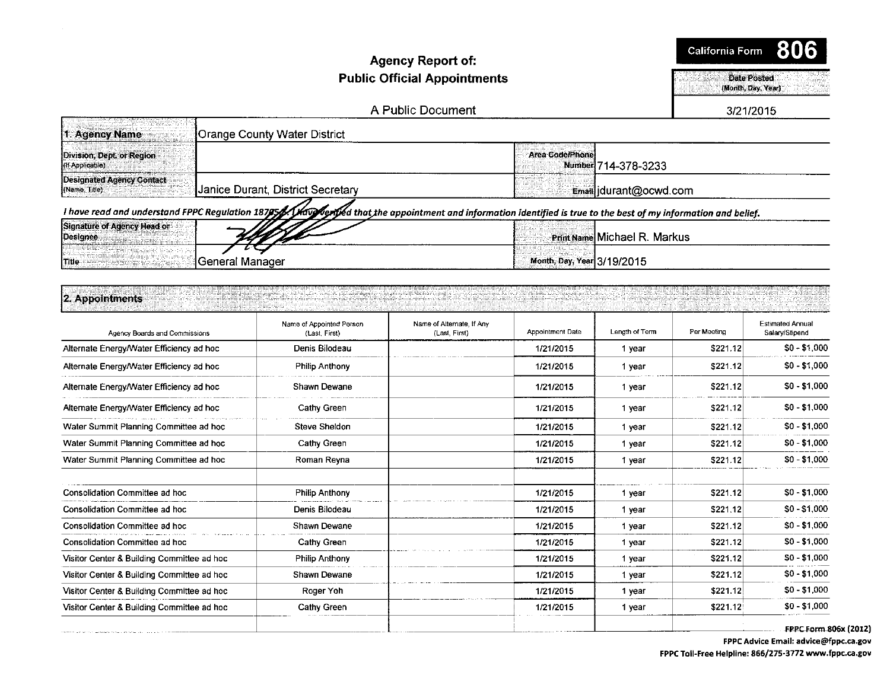#### **Agency Report of: Public Official Appointments**

California Form 806

> Date Posted (Month, Day, Year)

A Public Document

3/21/2015

| <b>Orange County Water District</b><br>1. Agency Name                                                                                                           |                                        |
|-----------------------------------------------------------------------------------------------------------------------------------------------------------------|----------------------------------------|
| Division, Dept. or Region<br>(If Applicable)                                                                                                                    | Area Code/Phone<br>Number 714-378-3233 |
| <b>Designated Agency Contact</b><br>Janice Durant, District Secretary<br>(Name, Title)                                                                          | Email jdurant@ocwd.com                 |
| I have read and understand FPPC Regulation 187954/May Merived that the appointment and information identified is true to the best of my information and belief. |                                        |
| Signature of Agency Head or<br><b>IDesignee</b>                                                                                                                 | Print Name Michael R. Markus           |
| ∛General Manager<br>l Title:                                                                                                                                    | Month, Day, Year 3/19/2015             |

| 2. Appointments                          |                                           |                                            |                  |                |             |                                           |
|------------------------------------------|-------------------------------------------|--------------------------------------------|------------------|----------------|-------------|-------------------------------------------|
| Agency Boards and Commissions            | Name of Appointed Person<br>(Last, First) | Name of Alternate, If Any<br>(Last. First) | Appointment Date | Length of Term | Per Meeting | <b>Estimated Annual</b><br>Salary/Stipend |
| Alternate Energy/Water Efficiency ad hoc | Denis Bilodeau                            |                                            | 1/21/2015        | vear           | \$221.12    | $$0 - $1,000$                             |
| Alternate Energy/Water Efficiency ad hoc | Philip Anthony                            |                                            | 1/21/2015        | vear           | \$221.12    | $$0 - $1,000$                             |
| Alternate Energy/Water Efficiency ad hoc | Shawn Dewane                              |                                            | 1/21/2015        | vear           | \$221.12    | $$0 - $1,000$                             |

| Alternate Energy/Water Efficiency ad hoc   | Shawn Dewane          | 1/21/2015 | 1 year | \$221.12  | $$0 - $1,000$ |
|--------------------------------------------|-----------------------|-----------|--------|-----------|---------------|
| Alternate Energy/Water Efficiency ad hoc   | Cathy Green           | 1/21/2015 | 1 year | \$221.12  | $$0 - $1,000$ |
| Water Summit Planning Committee ad hoc     | Steve Sheldon         | 1/21/2015 | 1 year | \$221.12  | $$0 - $1,000$ |
| Water Summit Planning Committee ad hoc     | Cathy Green           | 1/21/2015 | 1 year | \$221.12  | $$0 - $1,000$ |
| Water Summit Planning Committee ad hoc     | Roman Reyna           | 1/21/2015 | 1 year | \$221.12] | $$0 - $1,000$ |
| Consolidation Committee ad hoc             | <b>Philip Anthony</b> | 1/21/2015 | 1 year | \$221.12  | $$0 - $1,000$ |
| Consolidation Committee ad hoc             | Denis Bilodeau        | 1/21/2015 | 1 year | \$221.12  | $$0 - $1,000$ |
| Consolidation Committee ad hoc             | Shawn Dewane          | 1/21/2015 | 1 year | \$221.12  | $$0 - $1,000$ |
| <b>Consolidation Committee ad hoc</b>      | Cathy Green           | 1/21/2015 | 1 year | \$221.12  | $$0 - $1,000$ |
| Visitor Center & Building Committee ad hoc | <b>Philip Anthony</b> | 1/21/2015 | 1 year | \$221.12  | $$0 - $1,000$ |
| Visitor Center & Building Committee ad hoc | Shawn Dewane          | 1/21/2015 | 1 year | \$221.12  | $$0 - $1,000$ |
| Visitor Center & Building Committee ad hoc | Roger Yoh             | 1/21/2015 | 1 year | \$221.12  | $$0 - $1,000$ |
| Visitor Center & Building Committee ad hoc | Cathy Green           | 1/21/2015 | 1 year | \$221.12  | $$0 - $1,000$ |
|                                            |                       |           |        |           |               |

FPPC Form 806x (2012)

FPPC Advice Email: advice@fppc.ca.gov FPPC Toil-Free Helpline: 866/275-3772 www.fppc.ca.gov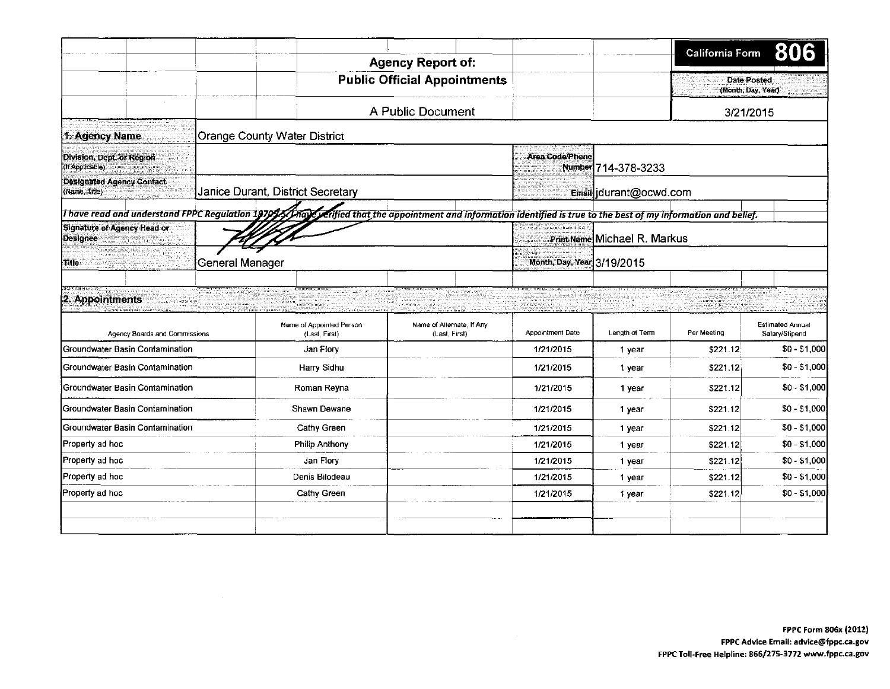|                                                     |                 |                                           |                                                                                                                |                        |                              | California Form                          |                                           |
|-----------------------------------------------------|-----------------|-------------------------------------------|----------------------------------------------------------------------------------------------------------------|------------------------|------------------------------|------------------------------------------|-------------------------------------------|
|                                                     |                 |                                           | <b>Agency Report of:</b>                                                                                       |                        |                              |                                          |                                           |
|                                                     |                 |                                           | <b>Public Official Appointments</b>                                                                            |                        |                              | <b>Date Posted</b><br>(Month, Day, Year) |                                           |
|                                                     |                 |                                           | A Public Document                                                                                              |                        |                              | 3/21/2015                                |                                           |
| 1. Agency Name                                      |                 | <b>Orange County Water District</b>       |                                                                                                                |                        |                              |                                          |                                           |
| Division, Dept. or Region<br>(If Applicable)        |                 |                                           |                                                                                                                | <b>Area Code/Phone</b> | Number 714-378-3233          |                                          |                                           |
| Designated Agency Contact<br>(Name, Title)          |                 | Janice Durant, District Secretary         |                                                                                                                |                        | Email idurant@ocwd.com       |                                          |                                           |
| I have read and understand FPPC Regulation 1970\$5. |                 |                                           | hay graffied that the appointment and information identified is true to the best of my information and belief. |                        |                              |                                          |                                           |
| Signature of Agency Head or<br><b>Designee</b>      |                 |                                           |                                                                                                                |                        | Print Name Michael R. Markus |                                          |                                           |
| Title                                               | General Manager |                                           |                                                                                                                |                        | Month, Day, Year 3/19/2015   |                                          |                                           |
| 2. Appointments                                     |                 |                                           |                                                                                                                |                        |                              |                                          |                                           |
| Agency Boards and Commissions                       |                 | Name of Appointed Person<br>(Last, First) | Name of Alternate, If Any<br>(Last, First)                                                                     | Appointment Date       | Length of Term               | Per Meeting                              | <b>Estimated Annual</b><br>Salary/Stipend |
| Groundwater Basin Contamination                     |                 | Jan Flory                                 |                                                                                                                | 1/21/2015              | 1 year                       | \$221.12                                 | $$0 - $1,000$                             |
| Groundwater Basin Contamination                     |                 | Harry Sidhu                               |                                                                                                                | 1/21/2015              | 1 year                       | \$221.12                                 | $$0 - $1,000$                             |
| Groundwater Basin Contamination                     |                 | Roman Reyna                               |                                                                                                                | 1/21/2015              | 1 year                       | \$221.12                                 | $$0 - $1,000$                             |
| Groundwater Basin Contamination                     |                 | Shawn Dewane                              |                                                                                                                | 1/21/2015              | 1 year                       | \$221.12                                 | $$0 - $1,000$                             |
| Groundwater Basin Contamination                     |                 | Cathy Green                               |                                                                                                                | 1/21/2015              | 1 year                       | \$221.12                                 | $$0 - $1,000$                             |
| Property ad hoc                                     |                 | Philip Anthony                            |                                                                                                                | 1/21/2015              | 1 year                       | \$221.12                                 | $$0 - $1,000$                             |
| Property ad hoc                                     |                 | Jan Flory                                 |                                                                                                                | 1/21/2015              | 1 year                       | \$221.12                                 | $$0 - $1,000$                             |
| Property ad hoc                                     |                 | Denis Bilodeau                            |                                                                                                                | 1/21/2015              | 1 year                       | \$221.12                                 | $$0 - $1,000$                             |
| Property ad hoc                                     |                 | Cathy Green                               |                                                                                                                | 1/21/2015              | 1 year                       | \$221.12                                 | $$0 - $1,000$                             |
|                                                     |                 |                                           |                                                                                                                |                        |                              |                                          |                                           |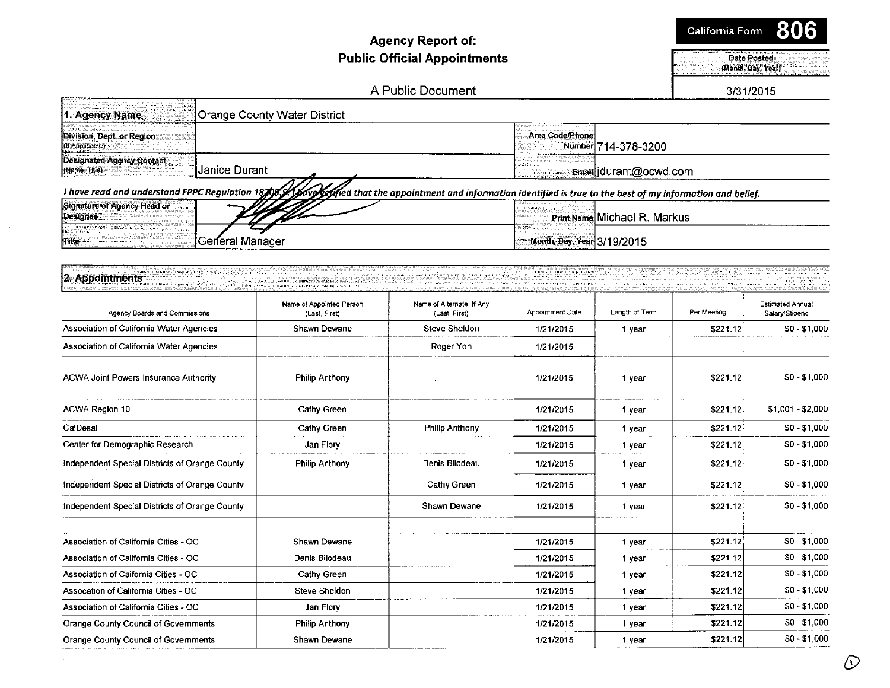### Agency Report of: Public Official Appointments Date of Construction of the Construction of the Construction of the Date Posted

(Month, Day, Year)

#### A Public Document 2012 12:00 12:00 12:00 12:00 12:00 13/31/2015

| 1. Agency Name<br>Orange County Water District                       |                                                                                                                                                                     |
|----------------------------------------------------------------------|---------------------------------------------------------------------------------------------------------------------------------------------------------------------|
| Division, Dept. or Region<br>(If Applicable)                         | <b>Area Code/Phone</b><br>Number 714-378-3200                                                                                                                       |
| <b>Designated Agency Contact</b><br> Janice Durant <br>(Name, Title) | Email durant@ocwd.com                                                                                                                                               |
|                                                                      | I have read and understand FPPC Regulation 18705. A bave left fed that the appointment and information identified is true to the best of my information and belief. |
| Signature of Agency Head or<br>Designee                              | Print Name Michael R. Markus                                                                                                                                        |
| General Manager<br>Title                                             | Month, Day, Year 3/19/2015                                                                                                                                          |

| <b>Mine</b><br>goenerar manager                |                                           |                                            | <b>INOTIAL Day, Tear 3/19/ZUTO</b> |                |             |                                    |  |
|------------------------------------------------|-------------------------------------------|--------------------------------------------|------------------------------------|----------------|-------------|------------------------------------|--|
| 2. Appointments                                |                                           |                                            |                                    |                |             |                                    |  |
| Agency Boards and Commissions                  | Name of Appointed Person<br>(Last, First) | Name of Alternate, If Any<br>(Last, First) | Appointment Date                   | Length of Term | Per Meeting | Estimated Annual<br>Salary/Stipend |  |
| Association of California Water Agencies       | Shawn Dewane                              | Steve Sheldon                              | 1/21/2015                          | 1 year         | \$221.12    | $$0 - $1,000$                      |  |
| Association of California Water Agencies       |                                           | Roger Yoh                                  | 1/21/2015                          |                |             |                                    |  |
| <b>ACWA Joint Powers Insurance Authority</b>   | <b>Philip Anthony</b>                     |                                            | 1/21/2015                          | 1 year         | \$221.12    | $$0 - $1,000$                      |  |
| ACWA Region 10                                 | Cathy Green                               |                                            | 1/21/2015                          | 1 year         | \$221.12    | \$1,001 - \$2,000                  |  |
| CalDesal                                       | Cathy Green                               | Philip Anthony                             | 1/21/2015                          | 1 year         | \$221.12    | $$0 - $1,000$                      |  |
| Center for Demographic Research                | Jan Flory                                 |                                            | 1/21/2015                          | 1 year         | \$221.12    | $$0 - $1,000$                      |  |
| Independent Special Districts of Orange County | Philip Anthony                            | Denis Bilodeau                             | 1/21/2015                          | 1 year         | \$221.12    | $$0 - $1,000$                      |  |
| Independent Special Districts of Orange County |                                           | <b>Cathy Green</b>                         | 1/21/2015                          | 1 year         | \$221.12    | $$0 - $1,000$                      |  |
| Independent Special Districts of Orange County |                                           | Shawn Dewane                               | 1/21/2015                          | 1 year         | \$221.12    | $$0 - $1,000$                      |  |
| Association of California Cities - OC          | Shawn Dewane                              |                                            | 1/21/2015                          | 1 year         | \$221.12    | $$0 - $1,000$                      |  |
| Association of California Cities - OC          | Denis Bilodeau                            |                                            | 1/21/2015                          | 1 year         | \$221.12    | $$0 - $1,000$                      |  |
| Association of Caifornia Cities - OC           | Cathy Green                               |                                            | 1/21/2015                          | 1 year         | \$221.12    | $$0 - $1,000$                      |  |
| Assocation of California Cities - OC           | <b>Steve Sheldon</b>                      |                                            | 1/21/2015                          | 1 year         | \$221.12    | $$0 - $1,000$                      |  |
| Association of California Cities - OC          | Jan Flory                                 |                                            | 1/21/2015                          | 1 year         | \$221.12    | $$0 - $1,000$                      |  |
| Orange County Council of Governments           | Philip Anthony                            |                                            | 1/21/2015                          | 1 year         | \$221.12    | $$0 - $1,000$                      |  |
| Orange County Council of Governments           | Shawn Dewane                              |                                            | 1/21/2015                          | 1 year         | \$221.12    | $$0 - $1,000$                      |  |